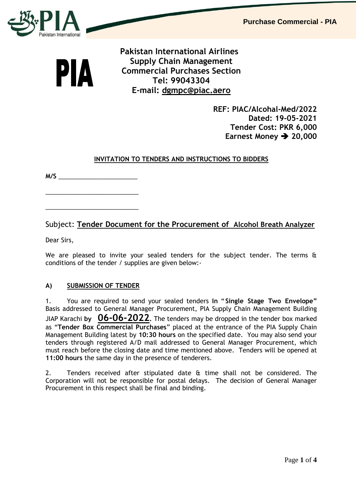

PIA

 **Pakistan International Airlines Supply Chain Management Commercial Purchases Section Tel: 99043304 E-mail: [dgmpc@piac.aero](mailto:dgmpc@piac.aero)**

> **REF: PIAC/Alcohal-Med/2022 Dated: 19-05-2021 Tender Cost: PKR 6,000 Earnest Money → 20,000**

### **INVITATION TO TENDERS AND INSTRUCTIONS TO BIDDERS**

**M/S** \_\_\_\_\_\_\_\_\_\_\_\_\_\_\_\_\_\_\_\_\_\_\_

\_\_\_\_\_\_\_\_\_\_\_\_\_\_\_\_\_\_\_\_\_\_\_\_\_\_\_

\_\_\_\_\_\_\_\_\_\_\_\_\_\_\_\_\_\_\_\_\_\_\_\_\_\_\_

## Subject: **Tender Document for the Procurement of Alcohol Breath Analyzer**

Dear Sirs,

We are pleased to invite your sealed tenders for the subject tender. The terms & conditions of the tender / supplies are given below:-

#### **A) SUBMISSION OF TENDER**

1. You are required to send your sealed tenders **In** "**Single Stage Two Envelope"** Basis addressed to General Manager Procurement, PIA Supply Chain Management Building JIAP Karachi **by 06-06-2022.** The tenders may be dropped in the tender box marked as "**Tender Box Commercial Purchases**" placed at the entrance of the PIA Supply Chain Management Building latest by **10:30 hours** on the specified date. You may also send your tenders through registered A/D mail addressed to General Manager Procurement, which must reach before the closing date and time mentioned above. Tenders will be opened at **11:00 hours** the same day in the presence of tenderers.

2. Tenders received after stipulated date & time shall not be considered. The Corporation will not be responsible for postal delays. The decision of General Manager Procurement in this respect shall be final and binding.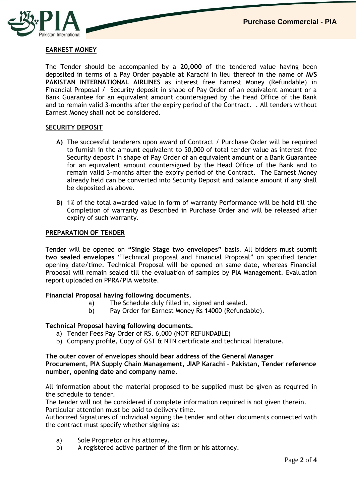

## **EARNEST MONEY**

The Tender should be accompanied by a **20,000** of the tendered value having been deposited in terms of a Pay Order payable at Karachi in lieu thereof in the name of **M/S PAKISTAN INTERNATIONAL AIRLINES** as interest free Earnest Money (Refundable) in Financial Proposal / Security deposit in shape of Pay Order of an equivalent amount or a Bank Guarantee for an equivalent amount countersigned by the Head Office of the Bank and to remain valid 3-months after the expiry period of the Contract. . All tenders without Earnest Money shall not be considered.

#### **SECURITY DEPOSIT**

- **A)** The successful tenderers upon award of Contract / Purchase Order will be required to furnish in the amount equivalent to 50,000 of total tender value as interest free Security deposit in shape of Pay Order of an equivalent amount or a Bank Guarantee for an equivalent amount countersigned by the Head Office of the Bank and to remain valid 3-months after the expiry period of the Contract. The Earnest Money already held can be converted into Security Deposit and balance amount if any shall be deposited as above.
- **B)** 1% of the total awarded value in form of warranty Performance will be hold till the Completion of warranty as Described in Purchase Order and will be released after expiry of such warranty.

#### **PREPARATION OF TENDER**

Tender will be opened on **"Single Stage two envelopes"** basis. All bidders must submit **two sealed envelopes** "Technical proposal and Financial Proposal" on specified tender opening date/time. Technical Proposal will be opened on same date, whereas Financial Proposal will remain sealed till the evaluation of samples by PIA Management. Evaluation report uploaded on PPRA/PIA website.

#### **Financial Proposal having following documents.**

- a) The Schedule duly filled in, signed and sealed.
- b) Pay Order for Earnest Money Rs 14000 (Refundable).

#### **Technical Proposal having following documents.**

- a) Tender Fees Pay Order of RS. 6,000 (NOT REFUNDABLE)
- b) Company profile, Copy of GST & NTN certificate and technical literature.

#### **The outer cover of envelopes should bear address of the General Manager Procurement, PIA Supply Chain Management, JIAP Karachi – Pakistan, Tender reference number, opening date and company name**.

All information about the material proposed to be supplied must be given as required in the schedule to tender.

The tender will not be considered if complete information required is not given therein. Particular attention must be paid to delivery time.

Authorized Signatures of individual signing the tender and other documents connected with the contract must specify whether signing as:

- a) Sole Proprietor or his attorney.
- b) A registered active partner of the firm or his attorney.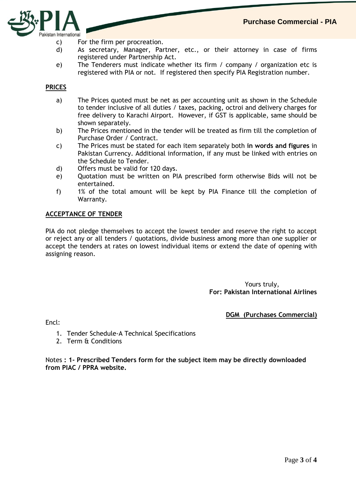

- c) For the firm per procreation.
- d) As secretary, Manager, Partner, etc., or their attorney in case of firms registered under Partnership Act.
- e) The Tenderers must indicate whether its firm / company / organization etc is registered with PIA or not. If registered then specify PIA Registration number.

#### **PRICES**

- a) The Prices quoted must be net as per accounting unit as shown in the Schedule to tender inclusive of all duties / taxes, packing, octroi and delivery charges for free delivery to Karachi Airport. However, if GST is applicable, same should be shown separately.
- b) The Prices mentioned in the tender will be treated as firm till the completion of Purchase Order / Contract.
- c) The Prices must be stated for each item separately both **in words and figures** in Pakistan Currency. Additional information, if any must be linked with entries on the Schedule to Tender.
- d) Offers must be valid for 120 days.
- e) Quotation must be written on PIA prescribed form otherwise Bids will not be entertained.
- f) 1% of the total amount will be kept by PIA Finance till the completion of Warranty.

#### **ACCEPTANCE OF TENDER**

PIA do not pledge themselves to accept the lowest tender and reserve the right to accept or reject any or all tenders / quotations, divide business among more than one supplier or accept the tenders at rates on lowest individual items or extend the date of opening with assigning reason.

> Yours truly, **For: Pakistan International Airlines**

> > **DGM (Purchases Commercial)**

Encl:

- 1. Tender Schedule-A Technical Specifications
- 2. Term & Conditions

Notes **: 1- Prescribed Tenders form for the subject item may be directly downloaded from PIAC / PPRA website.**